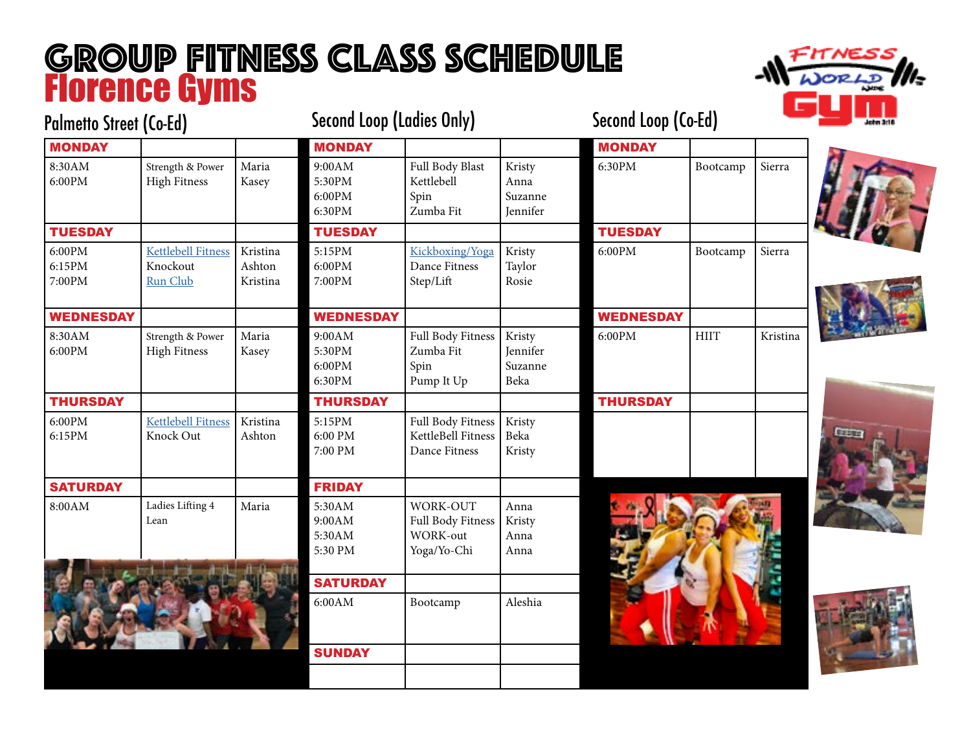## GROUP FITNESS CLASS SCHEDULE Florence Gyms



| <b>Palmetto Street (Co-Ed)</b> |                           |          | <b>Second Loop (Ladies Only)</b> |                    |          | Second Loop (Co-Ed) |             |          | lahn 3ri 6 |
|--------------------------------|---------------------------|----------|----------------------------------|--------------------|----------|---------------------|-------------|----------|------------|
| <b>MONDAY</b>                  |                           |          | <b>MONDAY</b>                    |                    |          | <b>MONDAY</b>       |             |          |            |
| 8:30AM                         | Strength & Power          | Maria    | 9:00AM                           | Full Body Blast    | Kristy   | 6:30PM              | Bootcamp    | Sierra   |            |
| 6:00PM                         | <b>High Fitness</b>       | Kasey    | 5:30PM                           | Kettlebell         | Anna     |                     |             |          |            |
|                                |                           |          | 6:00PM                           | Spin               | Suzanne  |                     |             |          |            |
|                                |                           |          | 6:30PM                           | Zumba Fit          | Jennifer |                     |             |          |            |
| <b>TUESDAY</b>                 |                           |          | <b>TUESDAY</b>                   |                    |          | <b>TUESDAY</b>      |             |          |            |
| 6:00PM                         | <b>Kettlebell Fitness</b> | Kristina | 5:15PM                           | Kickboxing/Yoga    | Kristy   | 6:00PM              | Bootcamp    | Sierra   |            |
| 6:15PM                         | Knockout                  | Ashton   | 6:00PM                           | Dance Fitness      | Taylor   |                     |             |          |            |
| 7:00PM                         | Run Club                  | Kristina | 7:00PM                           | Step/Lift          | Rosie    |                     |             |          |            |
|                                |                           |          |                                  |                    |          |                     |             |          |            |
| <b>WEDNESDAY</b>               |                           |          | <b>WEDNESDAY</b>                 |                    |          | <b>WEDNESDAY</b>    |             |          |            |
| 8:30AM                         | Strength & Power          | Maria    | 9:00AM                           | Full Body Fitness  | Kristy   | 6:00PM              | <b>HIIT</b> | Kristina |            |
| 6:00PM                         | <b>High Fitness</b>       | Kasey    | 5:30PM                           | Zumba Fit          | Jennifer |                     |             |          |            |
|                                |                           |          | 6:00PM                           | Spin               | Suzanne  |                     |             |          |            |
|                                |                           |          | 6:30PM                           | Pump It Up         | Beka     |                     |             |          |            |
| <b>THURSDAY</b>                |                           |          | <b>THURSDAY</b>                  |                    |          | <b>THURSDAY</b>     |             |          |            |
| 6:00PM                         | <b>Kettlebell Fitness</b> | Kristina | 5:15PM                           | Full Body Fitness  | Kristy   |                     |             |          |            |
| 6:15PM                         | Knock Out                 | Ashton   | 6:00 PM                          | KettleBell Fitness | Beka     |                     |             |          |            |
|                                |                           |          | 7:00 PM                          | Dance Fitness      | Kristy   |                     |             |          |            |
|                                |                           |          |                                  |                    |          |                     |             |          |            |
| <b>SATURDAY</b>                |                           |          | <b>FRIDAY</b>                    |                    |          |                     |             |          |            |
| 8:00AM                         | Ladies Lifting 4          | Maria    | 5:30AM                           | WORK-OUT           | Anna     |                     |             |          |            |
|                                | Lean                      |          | 9:00AM                           | Full Body Fitness  | Kristy   |                     |             |          |            |
|                                |                           |          | 5:30AM                           | <b>WORK-out</b>    | Anna     |                     |             |          |            |
|                                |                           |          | 5:30 PM                          | Yoga/Yo-Chi        | Anna     |                     |             |          |            |
|                                |                           |          | <b>SATURDAY</b>                  |                    |          |                     |             |          |            |
|                                |                           |          | 6:00AM                           | Bootcamp           | Aleshia  |                     |             |          |            |
|                                |                           |          |                                  |                    |          |                     |             |          |            |
|                                |                           |          |                                  |                    |          |                     |             |          |            |
|                                |                           |          | <b>SUNDAY</b>                    |                    |          |                     |             |          |            |
|                                |                           |          |                                  |                    |          |                     |             |          |            |
|                                |                           |          |                                  |                    |          |                     |             |          |            |